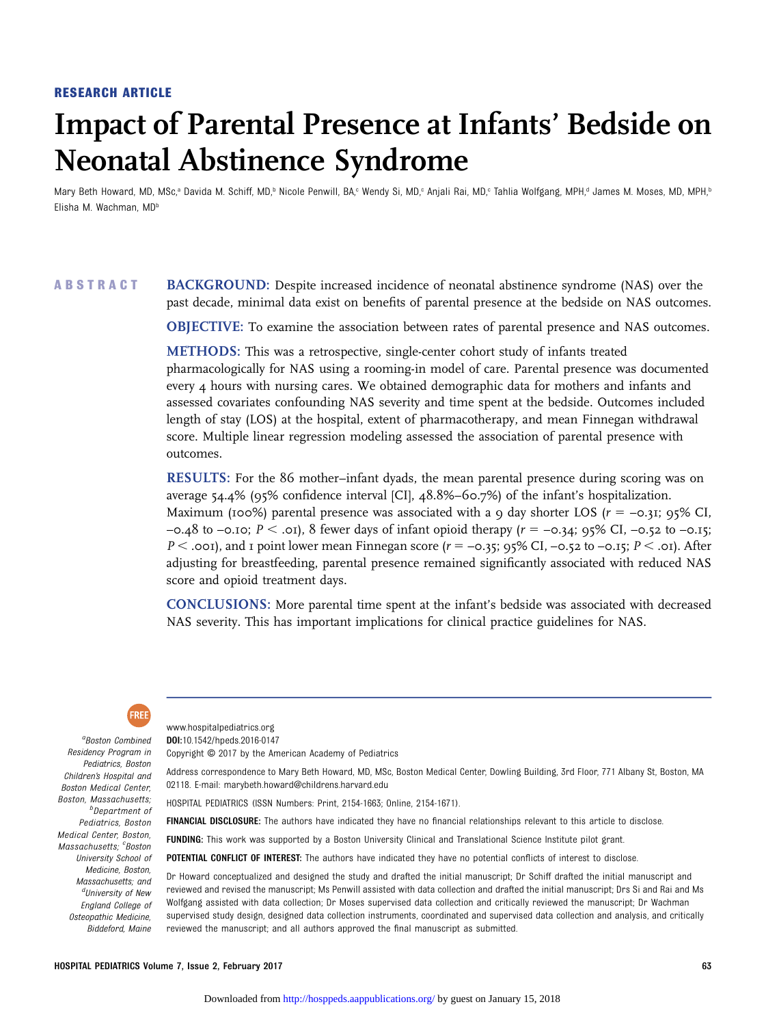#### RESEARCH ARTICLE

# Impact of Parental Presence at Infants' Bedside on Neonatal Abstinence Syndrome

Mary Beth Howard, MD, MSc,<sup>a</sup> Davida M. Schiff, MD,<sup>b</sup> Nicole Penwill, BA,<sup>c</sup> Wendy Si, MD,<sup>c</sup> Anjali Rai, MD,<sup>c</sup> Tahlia Wolfgang, MPH,<sup>d</sup> James M. Moses, MD, MPH,<sup>b</sup> Elisha M. Wachman, MD<sup>b</sup>

# ABSTRACT BACKGROUND: Despite increased incidence of neonatal abstinence syndrome (NAS) over the past decade, minimal data exist on benefits of parental presence at the bedside on NAS outcomes.

OBJECTIVE: To examine the association between rates of parental presence and NAS outcomes.

METHODS: This was a retrospective, single-center cohort study of infants treated pharmacologically for NAS using a rooming-in model of care. Parental presence was documented every 4 hours with nursing cares. We obtained demographic data for mothers and infants and assessed covariates confounding NAS severity and time spent at the bedside. Outcomes included length of stay (LOS) at the hospital, extent of pharmacotherapy, and mean Finnegan withdrawal score. Multiple linear regression modeling assessed the association of parental presence with outcomes.

RESULTS: For the 86 mother–infant dyads, the mean parental presence during scoring was on average 54.4% (95% confidence interval [CI], 48.8%–60.7%) of the infant's hospitalization. Maximum (100%) parental presence was associated with a 9 day shorter LOS ( $r = -0.31$ ; 95% CI,  $-0.48$  to  $-0.10$ ;  $P < .01$ ), 8 fewer days of infant opioid therapy ( $r = -0.34$ ; 95% CI,  $-0.52$  to  $-0.15$ ;  $P <$  .001), and 1 point lower mean Finnegan score ( $r = -0.35$ ; 95% CI,  $-0.52$  to  $-0.15$ ;  $P <$  .01). After adjusting for breastfeeding, parental presence remained significantly associated with reduced NAS score and opioid treatment days.

CONCLUSIONS: More parental time spent at the infant's bedside was associated with decreased NAS severity. This has important implications for clinical practice guidelines for NAS.



a Boston Combined Residency Program in Pediatrics, Boston Children's Hospital and Boston Medical Center, Boston, Massachusetts; <sup>b</sup>Department of Pediatrics, Boston Medical Center, Boston, Massachusetts; <sup>c</sup>Boston University School of Medicine, Boston, Massachusetts; and <sup>d</sup>University of New England College of Osteopathic Medicine, Biddeford, Maine [www.hospitalpediatrics.org](,DanaInfo=hosppeds.aappublications.org+www.hospitalpediatrics.org) DOI:[10.1542/hpeds.2016-0147](https://webvpn.childrens.harvard.edu/10.1542/,DanaInfo=dx.doi.org+hpeds.2016-0147) Copyright © 2017 by the American Academy of Pediatrics

Address correspondence to Mary Beth Howard, MD, MSc, Boston Medical Center, Dowling Building, 3rd Floor, 771 Albany St, Boston, MA 02118. E-mail: [marybeth.howard@childrens.harvard.edu](mailto:marybeth.howard@childrens.harvard.edu)

HOSPITAL PEDIATRICS (ISSN Numbers: Print, 2154-1663; Online, 2154-1671).

FINANCIAL DISCLOSURE: The authors have indicated they have no financial relationships relevant to this article to disclose.

FUNDING: This work was supported by a Boston University Clinical and Translational Science Institute pilot grant.

POTENTIAL CONFLICT OF INTEREST: The authors have indicated they have no potential conflicts of interest to disclose.

Dr Howard conceptualized and designed the study and drafted the initial manuscript; Dr Schiff drafted the initial manuscript and reviewed and revised the manuscript; Ms Penwill assisted with data collection and drafted the initial manuscript; Drs Si and Rai and Ms Wolfgang assisted with data collection; Dr Moses supervised data collection and critically reviewed the manuscript; Dr Wachman supervised study design, designed data collection instruments, coordinated and supervised data collection and analysis, and critically reviewed the manuscript; and all authors approved the final manuscript as submitted.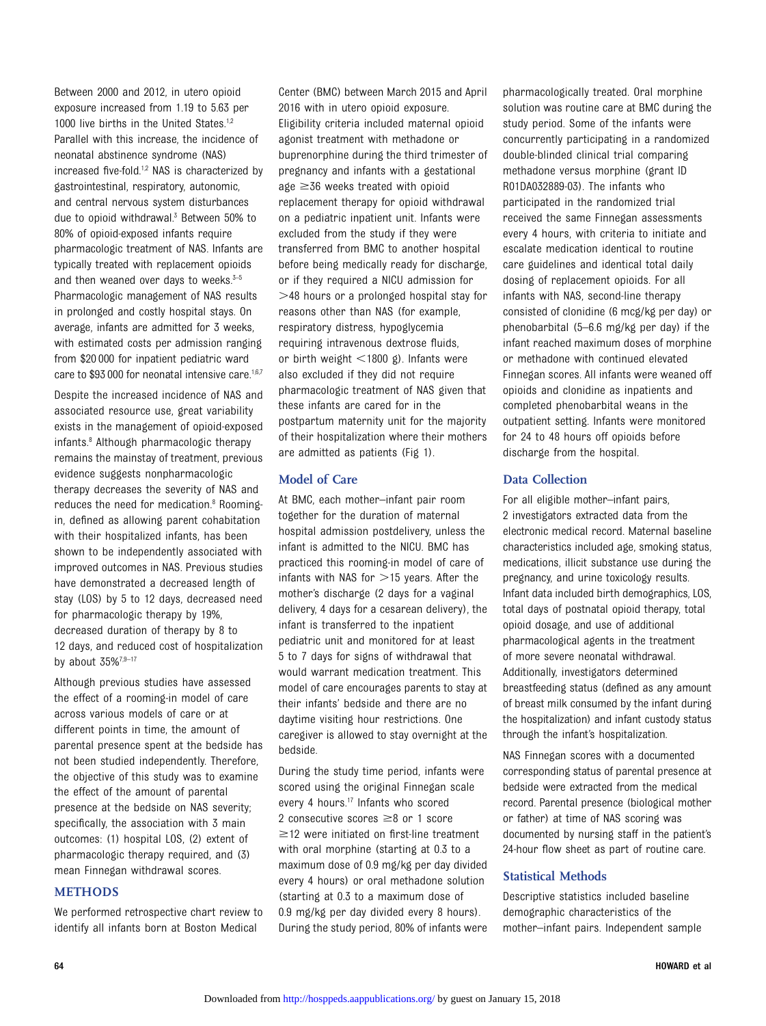Between 2000 and 2012, in utero opioid exposure increased from 1.19 to 5.63 per 1000 live births in the United States.<sup>1,2</sup> Parallel with this increase, the incidence of neonatal abstinence syndrome (NAS) increased five-fold.<sup>1,2</sup> NAS is characterized by gastrointestinal, respiratory, autonomic, and central nervous system disturbances due to opioid withdrawal.<sup>3</sup> Between 50% to 80% of opioid-exposed infants require pharmacologic treatment of NAS. Infants are typically treated with replacement opioids and then weaned over days to weeks. $3-5$ Pharmacologic management of NAS results in prolonged and costly hospital stays. On average, infants are admitted for 3 weeks, with estimated costs per admission ranging from \$20 000 for inpatient pediatric ward care to \$93 000 for neonatal intensive care.<sup>1,6,7</sup>

Despite the increased incidence of NAS and associated resource use, great variability exists in the management of opioid-exposed infants.8 Although pharmacologic therapy remains the mainstay of treatment, previous evidence suggests nonpharmacologic therapy decreases the severity of NAS and reduces the need for medication.<sup>8</sup> Roomingin, defined as allowing parent cohabitation with their hospitalized infants, has been shown to be independently associated with improved outcomes in NAS. Previous studies have demonstrated a decreased length of stay (LOS) by 5 to 12 days, decreased need for pharmacologic therapy by 19%, decreased duration of therapy by 8 to 12 days, and reduced cost of hospitalization by about  $35\%^{7,9-17}$ 

Although previous studies have assessed the effect of a rooming-in model of care across various models of care or at different points in time, the amount of parental presence spent at the bedside has not been studied independently. Therefore, the objective of this study was to examine the effect of the amount of parental presence at the bedside on NAS severity; specifically, the association with 3 main outcomes: (1) hospital LOS, (2) extent of pharmacologic therapy required, and (3) mean Finnegan withdrawal scores.

#### METHODS

We performed retrospective chart review to identify all infants born at Boston Medical

Center (BMC) between March 2015 and April 2016 with in utero opioid exposure. Eligibility criteria included maternal opioid agonist treatment with methadone or buprenorphine during the third trimester of pregnancy and infants with a gestational age  $\geq$ 36 weeks treated with opioid replacement therapy for opioid withdrawal on a pediatric inpatient unit. Infants were excluded from the study if they were transferred from BMC to another hospital before being medically ready for discharge, or if they required a NICU admission for >48 hours or a prolonged hospital stay for reasons other than NAS (for example, respiratory distress, hypoglycemia requiring intravenous dextrose fluids, or birth weight  $\lt$ 1800 g). Infants were also excluded if they did not require pharmacologic treatment of NAS given that these infants are cared for in the postpartum maternity unit for the majority of their hospitalization where their mothers are admitted as patients (Fig 1).

## Model of Care

At BMC, each mother–infant pair room together for the duration of maternal hospital admission postdelivery, unless the infant is admitted to the NICU. BMC has practiced this rooming-in model of care of infants with NAS for  $>$ 15 years. After the mother's discharge (2 days for a vaginal delivery, 4 days for a cesarean delivery), the infant is transferred to the inpatient pediatric unit and monitored for at least 5 to 7 days for signs of withdrawal that would warrant medication treatment. This model of care encourages parents to stay at their infants' bedside and there are no daytime visiting hour restrictions. One caregiver is allowed to stay overnight at the bedside.

During the study time period, infants were scored using the original Finnegan scale every 4 hours.<sup>17</sup> Infants who scored 2 consecutive scores  $\geq 8$  or 1 score  $\geq$  12 were initiated on first-line treatment with oral morphine (starting at 0.3 to a maximum dose of 0.9 mg/kg per day divided every 4 hours) or oral methadone solution (starting at 0.3 to a maximum dose of 0.9 mg/kg per day divided every 8 hours). During the study period, 80% of infants were pharmacologically treated. Oral morphine solution was routine care at BMC during the study period. Some of the infants were concurrently participating in a randomized double-blinded clinical trial comparing methadone versus morphine (grant ID R01DA032889-03). The infants who participated in the randomized trial received the same Finnegan assessments every 4 hours, with criteria to initiate and escalate medication identical to routine care guidelines and identical total daily dosing of replacement opioids. For all infants with NAS, second-line therapy consisted of clonidine (6 mcg/kg per day) or phenobarbital (5–6.6 mg/kg per day) if the infant reached maximum doses of morphine or methadone with continued elevated Finnegan scores. All infants were weaned off opioids and clonidine as inpatients and completed phenobarbital weans in the outpatient setting. Infants were monitored for 24 to 48 hours off opioids before discharge from the hospital.

#### Data Collection

For all eligible mother–infant pairs, 2 investigators extracted data from the electronic medical record. Maternal baseline characteristics included age, smoking status, medications, illicit substance use during the pregnancy, and urine toxicology results. Infant data included birth demographics, LOS, total days of postnatal opioid therapy, total opioid dosage, and use of additional pharmacological agents in the treatment of more severe neonatal withdrawal. Additionally, investigators determined breastfeeding status (defined as any amount of breast milk consumed by the infant during the hospitalization) and infant custody status through the infant's hospitalization.

NAS Finnegan scores with a documented corresponding status of parental presence at bedside were extracted from the medical record. Parental presence (biological mother or father) at time of NAS scoring was documented by nursing staff in the patient's 24-hour flow sheet as part of routine care.

#### Statistical Methods

Descriptive statistics included baseline demographic characteristics of the mother–infant pairs. Independent sample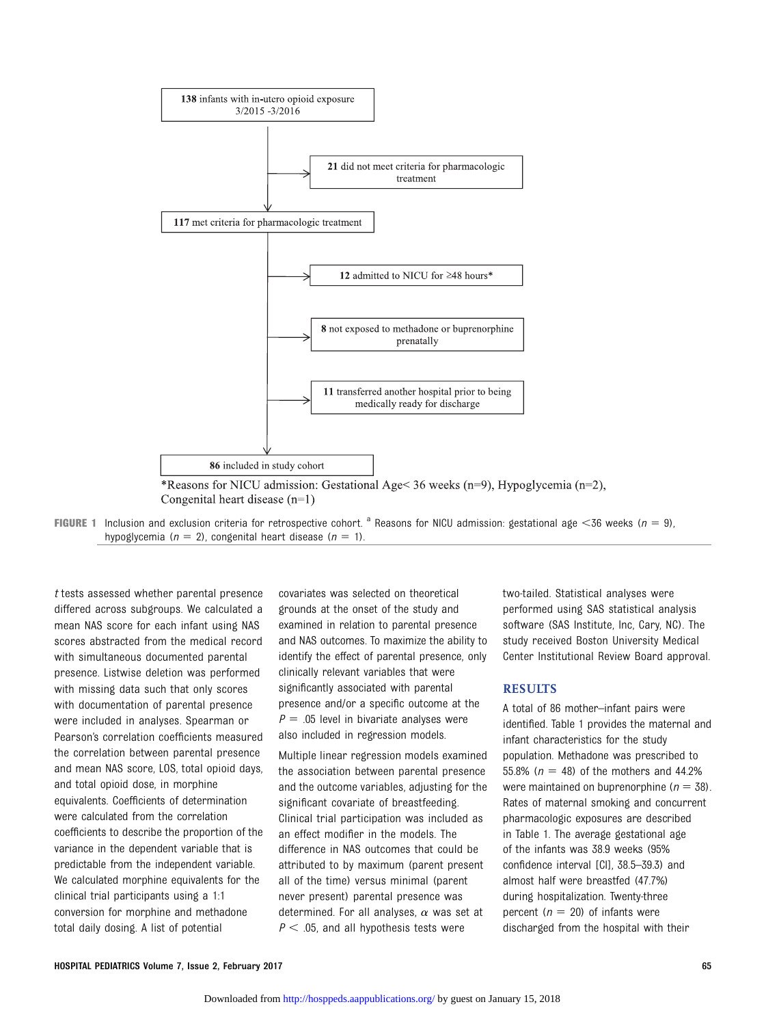



t tests assessed whether parental presence differed across subgroups. We calculated a mean NAS score for each infant using NAS scores abstracted from the medical record with simultaneous documented parental presence. Listwise deletion was performed with missing data such that only scores with documentation of parental presence were included in analyses. Spearman or Pearson's correlation coefficients measured the correlation between parental presence and mean NAS score, LOS, total opioid days, and total opioid dose, in morphine equivalents. Coefficients of determination were calculated from the correlation coefficients to describe the proportion of the variance in the dependent variable that is predictable from the independent variable. We calculated morphine equivalents for the clinical trial participants using a 1:1 conversion for morphine and methadone total daily dosing. A list of potential

covariates was selected on theoretical grounds at the onset of the study and examined in relation to parental presence and NAS outcomes. To maximize the ability to identify the effect of parental presence, only clinically relevant variables that were significantly associated with parental presence and/or a specific outcome at the  $P = .05$  level in bivariate analyses were also included in regression models.

Multiple linear regression models examined the association between parental presence and the outcome variables, adjusting for the significant covariate of breastfeeding. Clinical trial participation was included as an effect modifier in the models. The difference in NAS outcomes that could be attributed to by maximum (parent present all of the time) versus minimal (parent never present) parental presence was determined. For all analyses,  $\alpha$  was set at  $P < .05$ , and all hypothesis tests were

two-tailed. Statistical analyses were performed using SAS statistical analysis software (SAS Institute, Inc, Cary, NC). The study received Boston University Medical Center Institutional Review Board approval.

#### RESULTS

A total of 86 mother–infant pairs were identified. Table 1 provides the maternal and infant characteristics for the study population. Methadone was prescribed to 55.8% ( $n = 48$ ) of the mothers and 44.2% were maintained on buprenorphine ( $n = 38$ ). Rates of maternal smoking and concurrent pharmacologic exposures are described in Table 1. The average gestational age of the infants was 38.9 weeks (95% confidence interval [CI], 38.5–39.3) and almost half were breastfed (47.7%) during hospitalization. Twenty-three percent ( $n = 20$ ) of infants were discharged from the hospital with their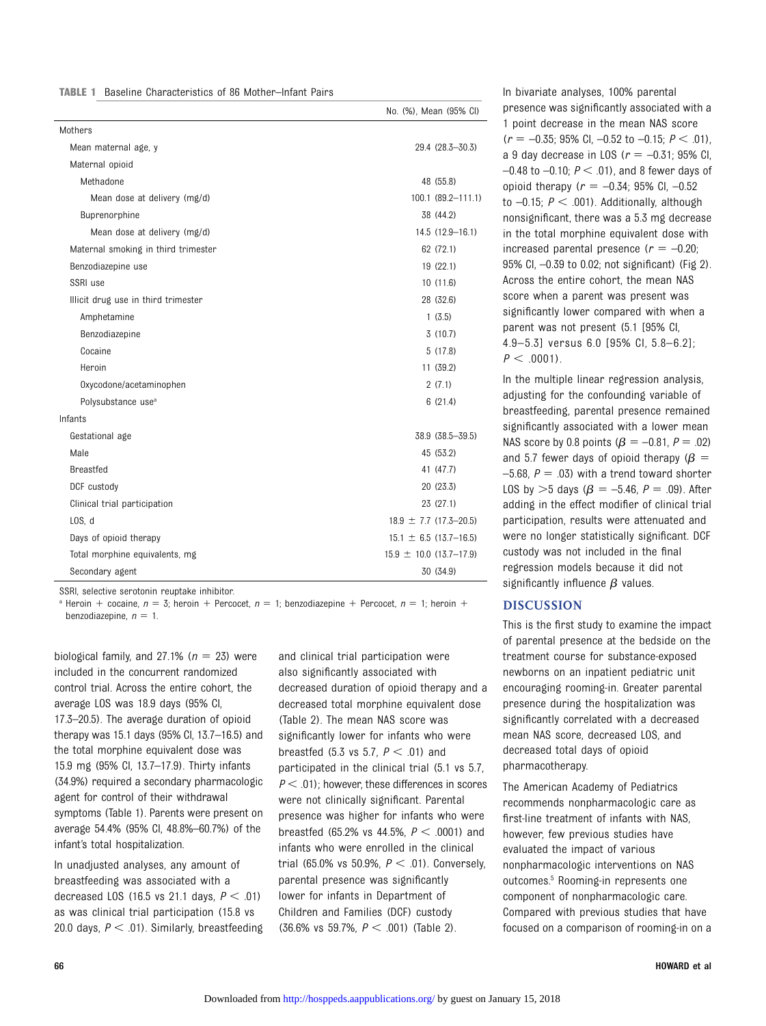| <b>TABLE 1</b> Baseline Characteristics of 86 Mother-Infant Pairs |
|-------------------------------------------------------------------|
|-------------------------------------------------------------------|

|                                     | No. (%), Mean (95% CI)      |
|-------------------------------------|-----------------------------|
| Mothers                             |                             |
| Mean maternal age, y                | 29.4 (28.3-30.3)            |
| Maternal opioid                     |                             |
| Methadone                           | 48 (55.8)                   |
| Mean dose at delivery (mg/d)        | 100.1 (89.2-111.1)          |
| Buprenorphine                       | 38 (44.2)                   |
| Mean dose at delivery (mg/d)        | 14.5 (12.9-16.1)            |
| Maternal smoking in third trimester | 62 (72.1)                   |
| Benzodiazepine use                  | 19 (22.1)                   |
| SSRI use                            | 10(11.6)                    |
| Illicit drug use in third trimester | 28 (32.6)                   |
| Amphetamine                         | 1(3.5)                      |
| Benzodiazepine                      | 3(10.7)                     |
| Cocaine                             | 5(17.8)                     |
| Heroin                              | 11 (39.2)                   |
| Oxycodone/acetaminophen             | 2(7.1)                      |
| Polysubstance use <sup>a</sup>      | 6(21.4)                     |
| Infants                             |                             |
| Gestational age                     | 38.9 (38.5-39.5)            |
| Male                                | 45 (53.2)                   |
| <b>Breastfed</b>                    | 41 (47.7)                   |
| DCF custody                         | 20 (23.3)                   |
| Clinical trial participation        | 23 (27.1)                   |
| LOS. d                              | $18.9 \pm 7.7$ (17.3-20.5)  |
| Days of opioid therapy              | $15.1 \pm 6.5$ (13.7-16.5)  |
| Total morphine equivalents, mg      | $15.9 \pm 10.0$ (13.7-17.9) |
| Secondary agent                     | 30 (34.9)                   |

SSRI, selective serotonin reuptake inhibitor.

<sup>a</sup> Heroin + cocaine,  $n = 3$ ; heroin + Percocet,  $n = 1$ ; benzodiazepine + Percocet,  $n = 1$ ; heroin + benzodiazepine,  $n = 1$ .

biological family, and 27.1% ( $n = 23$ ) were included in the concurrent randomized control trial. Across the entire cohort, the average LOS was 18.9 days (95% CI, 17.3–20.5). The average duration of opioid therapy was 15.1 days (95% CI, 13.7–16.5) and the total morphine equivalent dose was 15.9 mg (95% CI, 13.7–17.9). Thirty infants (34.9%) required a secondary pharmacologic agent for control of their withdrawal symptoms (Table 1). Parents were present on average 54.4% (95% CI, 48.8%–60.7%) of the infant's total hospitalization.

In unadjusted analyses, any amount of breastfeeding was associated with a decreased LOS (16.5 vs 21.1 days,  $P < .01$ ) as was clinical trial participation (15.8 vs 20.0 days,  $P < .01$ ). Similarly, breastfeeding and clinical trial participation were also significantly associated with decreased duration of opioid therapy and a decreased total morphine equivalent dose (Table 2). The mean NAS score was significantly lower for infants who were breastfed (5.3 vs 5.7,  $P < .01$ ) and participated in the clinical trial (5.1 vs 5.7,  $P < .01$ ); however, these differences in scores were not clinically significant. Parental presence was higher for infants who were breastfed (65.2% vs 44.5%,  $P < .0001$ ) and infants who were enrolled in the clinical trial (65.0% vs 50.9%,  $P < .01$ ). Conversely, parental presence was significantly lower for infants in Department of Children and Families (DCF) custody  $(36.6\% \text{ vs } 59.7\%, P < .001)$  (Table 2).

In bivariate analyses, 100% parental presence was significantly associated with a 1 point decrease in the mean NAS score  $(r = -0.35; 95\% \text{ CI}, -0.52 \text{ to } -0.15; P < .01),$ a 9 day decrease in LOS ( $r = -0.31$ ; 95% CI,  $-0.48$  to  $-0.10$ ;  $P < .01$ ), and 8 fewer days of opioid therapy ( $r = -0.34$ ; 95% CI,  $-0.52$ to  $-0.15$ ;  $P < .001$ ). Additionally, although nonsignificant, there was a 5.3 mg decrease in the total morphine equivalent dose with increased parental presence ( $r = -0.20$ ; 95% CI, –0.39 to 0.02; not significant) (Fig 2). Across the entire cohort, the mean NAS score when a parent was present was significantly lower compared with when a parent was not present (5.1 [95% CI, 4.9–5.3] versus 6.0 [95% CI, 5.8–6.2];  $P < .0001$ ).

In the multiple linear regression analysis, adjusting for the confounding variable of breastfeeding, parental presence remained significantly associated with a lower mean NAS score by 0.8 points  $(\beta = -0.81, P = .02)$ and 5.7 fewer days of opioid therapy ( $\beta =$ –5.68,  $P = .03$ ) with a trend toward shorter LOS by  $>5$  days ( $\beta = -5.46$ ,  $P = .09$ ). After adding in the effect modifier of clinical trial participation, results were attenuated and were no longer statistically significant. DCF custody was not included in the final regression models because it did not significantly influence  $\beta$  values.

#### DISCUSSION

This is the first study to examine the impact of parental presence at the bedside on the treatment course for substance-exposed newborns on an inpatient pediatric unit encouraging rooming-in. Greater parental presence during the hospitalization was significantly correlated with a decreased mean NAS score, decreased LOS, and decreased total days of opioid pharmacotherapy.

The American Academy of Pediatrics recommends nonpharmacologic care as first-line treatment of infants with NAS, however, few previous studies have evaluated the impact of various nonpharmacologic interventions on NAS outcomes.<sup>5</sup> Rooming-in represents one component of nonpharmacologic care. Compared with previous studies that have focused on a comparison of rooming-in on a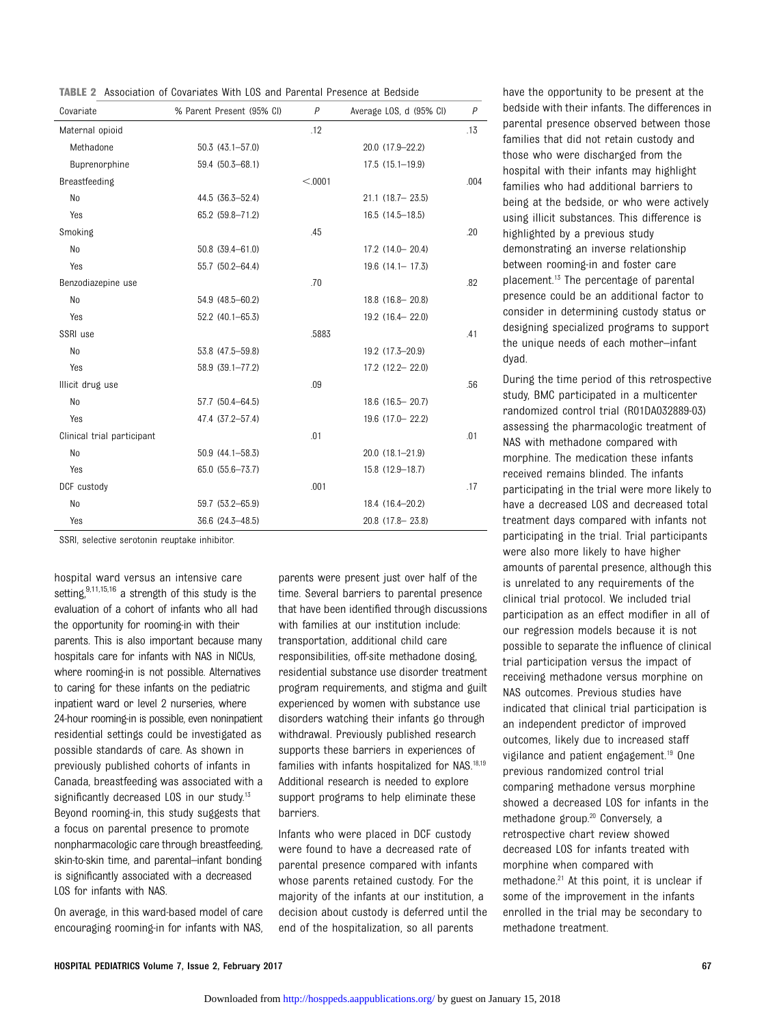TABLE 2 Association of Covariates With LOS and Parental Presence at Bedside

| Covariate                  | % Parent Present (95% CI) | $\overline{P}$ | Average LOS, d (95% CI) | $\overline{P}$ |
|----------------------------|---------------------------|----------------|-------------------------|----------------|
| Maternal opioid            |                           | .12            |                         | .13            |
| Methadone                  | $50.3(43.1 - 57.0)$       |                | 20.0 (17.9-22.2)        |                |
| Buprenorphine              | 59.4 (50.3-68.1)          |                | $17.5(15.1 - 19.9)$     |                |
| Breastfeeding              |                           | < 0.001        |                         | .004           |
| No                         | 44.5 (36.3-52.4)          |                | $21.1$ (18.7 - 23.5)    |                |
| Yes                        | 65.2 (59.8-71.2)          |                | 16.5 (14.5-18.5)        |                |
| Smoking                    |                           | .45            |                         | .20            |
| No                         | 50.8 (39.4-61.0)          |                | 17.2 (14.0 - 20.4)      |                |
| Yes                        | 55.7 (50.2-64.4)          |                | $19.6$ $(14.1 - 17.3)$  |                |
| Benzodiazepine use         |                           | .70            |                         | .82            |
| N <sub>o</sub>             | 54.9 (48.5-60.2)          |                | 18.8 (16.8 - 20.8)      |                |
| Yes                        | 52.2 (40.1-65.3)          |                | 19.2 (16.4 - 22.0)      |                |
| SSRI use                   |                           | .5883          |                         | .41            |
| No                         | 53.8 (47.5-59.8)          |                | 19.2 (17.3-20.9)        |                |
| Yes                        | 58.9 (39.1-77.2)          |                | 17.2 (12.2-22.0)        |                |
| Illicit drug use           |                           | .09            |                         | .56            |
| No                         | 57.7 (50.4-64.5)          |                | 18.6 (16.5 - 20.7)      |                |
| Yes                        | 47.4 (37.2-57.4)          |                | 19.6 (17.0 - 22.2)      |                |
| Clinical trial participant |                           | .01            |                         | .01            |
| No                         | 50.9 (44.1-58.3)          |                | $20.0(18.1 - 21.9)$     |                |
| Yes                        | 65.0 (55.6-73.7)          |                | 15.8 (12.9-18.7)        |                |
| DCF custody                |                           | .001           |                         | .17            |
| No                         | 59.7 (53.2-65.9)          |                | 18.4 (16.4-20.2)        |                |
| Yes                        | 36.6 (24.3-48.5)          |                | 20.8 (17.8 - 23.8)      |                |

SSRI, selective serotonin reuptake inhibitor.

hospital ward versus an intensive care setting,<sup>9,11,15,16</sup> a strength of this study is the evaluation of a cohort of infants who all had the opportunity for rooming-in with their parents. This is also important because many hospitals care for infants with NAS in NICUs, where rooming-in is not possible. Alternatives to caring for these infants on the pediatric inpatient ward or level 2 nurseries, where 24-hour rooming-in is possible, even noninpatient residential settings could be investigated as possible standards of care. As shown in previously published cohorts of infants in Canada, breastfeeding was associated with a significantly decreased LOS in our study.<sup>13</sup> Beyond rooming-in, this study suggests that a focus on parental presence to promote nonpharmacologic care through breastfeeding, skin-to-skin time, and parental–infant bonding is significantly associated with a decreased LOS for infants with NAS.

On average, in this ward-based model of care encouraging rooming-in for infants with NAS,

parents were present just over half of the time. Several barriers to parental presence that have been identified through discussions with families at our institution include: transportation, additional child care responsibilities, off-site methadone dosing, residential substance use disorder treatment program requirements, and stigma and guilt experienced by women with substance use disorders watching their infants go through withdrawal. Previously published research supports these barriers in experiences of families with infants hospitalized for NAS.18,19 Additional research is needed to explore support programs to help eliminate these barriers.

Infants who were placed in DCF custody were found to have a decreased rate of parental presence compared with infants whose parents retained custody. For the majority of the infants at our institution, a decision about custody is deferred until the end of the hospitalization, so all parents

have the opportunity to be present at the bedside with their infants. The differences in parental presence observed between those families that did not retain custody and those who were discharged from the hospital with their infants may highlight families who had additional barriers to being at the bedside, or who were actively using illicit substances. This difference is highlighted by a previous study demonstrating an inverse relationship between rooming-in and foster care placement.13 The percentage of parental

presence could be an additional factor to consider in determining custody status or designing specialized programs to support the unique needs of each mother–infant dyad.

During the time period of this retrospective study, BMC participated in a multicenter randomized control trial (R01DA032889-03) assessing the pharmacologic treatment of NAS with methadone compared with morphine. The medication these infants received remains blinded. The infants participating in the trial were more likely to have a decreased LOS and decreased total treatment days compared with infants not participating in the trial. Trial participants were also more likely to have higher amounts of parental presence, although this is unrelated to any requirements of the clinical trial protocol. We included trial participation as an effect modifier in all of our regression models because it is not possible to separate the influence of clinical trial participation versus the impact of receiving methadone versus morphine on NAS outcomes. Previous studies have indicated that clinical trial participation is an independent predictor of improved outcomes, likely due to increased staff vigilance and patient engagement.19 One previous randomized control trial comparing methadone versus morphine showed a decreased LOS for infants in the methadone group.20 Conversely, a retrospective chart review showed decreased LOS for infants treated with morphine when compared with methadone.<sup>21</sup> At this point, it is unclear if some of the improvement in the infants enrolled in the trial may be secondary to methadone treatment.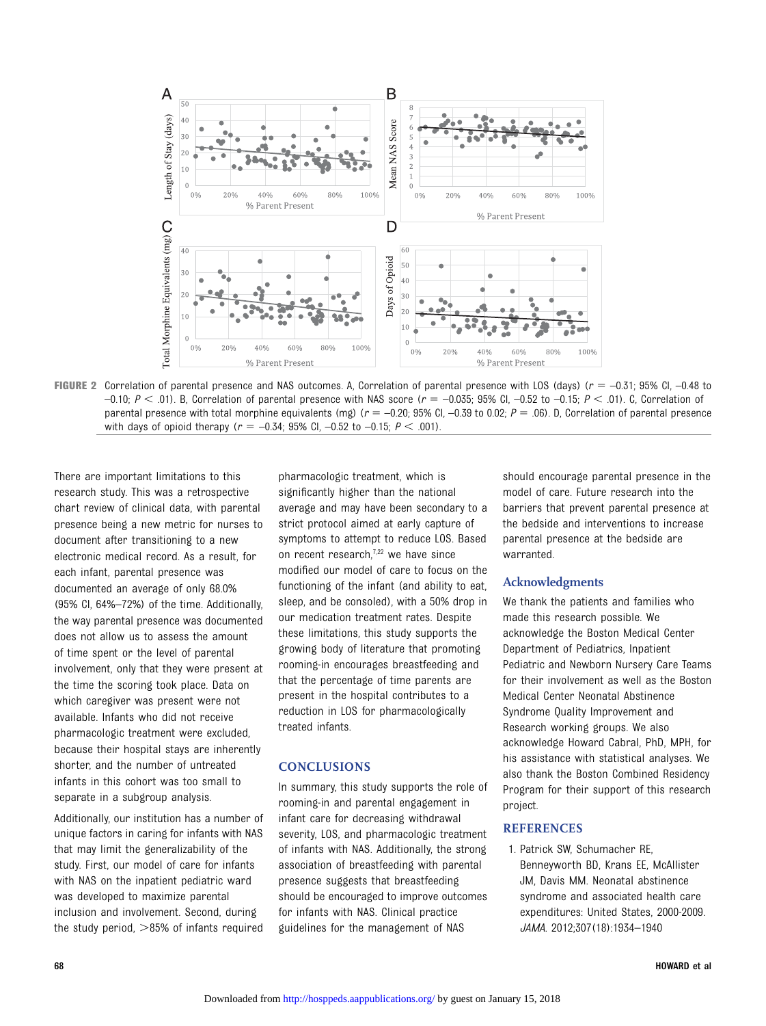

FIGURE 2 Correlation of parental presence and NAS outcomes. A, Correlation of parental presence with LOS (days) ( $r = -0.31$ ; 95% CI, -0.48 to  $-0.10$ ;  $P < .01$ ). B, Correlation of parental presence with NAS score ( $r = -0.035$ ; 95% CI,  $-0.52$  to  $-0.15$ ;  $P < .01$ ). C, Correlation of parental presence with total morphine equivalents (mg)  $(r = -0.20; 95\%$  CI,  $-0.39$  to 0.02;  $P = .06$ ). D, Correlation of parental presence with days of opioid therapy ( $r = -0.34$ ; 95% CI,  $-0.52$  to  $-0.15$ ;  $P < .001$ ).

There are important limitations to this research study. This was a retrospective chart review of clinical data, with parental presence being a new metric for nurses to document after transitioning to a new electronic medical record. As a result, for each infant, parental presence was documented an average of only 68.0% (95% CI, 64%–72%) of the time. Additionally, the way parental presence was documented does not allow us to assess the amount of time spent or the level of parental involvement, only that they were present at the time the scoring took place. Data on which caregiver was present were not available. Infants who did not receive pharmacologic treatment were excluded, because their hospital stays are inherently shorter, and the number of untreated infants in this cohort was too small to separate in a subgroup analysis.

Additionally, our institution has a number of unique factors in caring for infants with NAS that may limit the generalizability of the study. First, our model of care for infants with NAS on the inpatient pediatric ward was developed to maximize parental inclusion and involvement. Second, during the study period,  $>85%$  of infants required

pharmacologic treatment, which is significantly higher than the national average and may have been secondary to a strict protocol aimed at early capture of symptoms to attempt to reduce LOS. Based on recent research, $7,22$  we have since modified our model of care to focus on the functioning of the infant (and ability to eat, sleep, and be consoled), with a 50% drop in our medication treatment rates. Despite these limitations, this study supports the growing body of literature that promoting rooming-in encourages breastfeeding and that the percentage of time parents are present in the hospital contributes to a reduction in LOS for pharmacologically treated infants.

#### **CONCLUSIONS**

In summary, this study supports the role of rooming-in and parental engagement in infant care for decreasing withdrawal severity, LOS, and pharmacologic treatment of infants with NAS. Additionally, the strong association of breastfeeding with parental presence suggests that breastfeeding should be encouraged to improve outcomes for infants with NAS. Clinical practice guidelines for the management of NAS

should encourage parental presence in the model of care. Future research into the barriers that prevent parental presence at the bedside and interventions to increase parental presence at the bedside are warranted.

#### Acknowledgments

We thank the patients and families who made this research possible. We acknowledge the Boston Medical Center Department of Pediatrics, Inpatient Pediatric and Newborn Nursery Care Teams for their involvement as well as the Boston Medical Center Neonatal Abstinence Syndrome Quality Improvement and Research working groups. We also acknowledge Howard Cabral, PhD, MPH, for his assistance with statistical analyses. We also thank the Boston Combined Residency Program for their support of this research project.

### **REFERENCES**

1. Patrick SW, Schumacher RE, Benneyworth BD, Krans EE, McAllister JM, Davis MM. Neonatal abstinence syndrome and associated health care expenditures: United States, 2000-2009. JAMA. 2012;307(18):1934–1940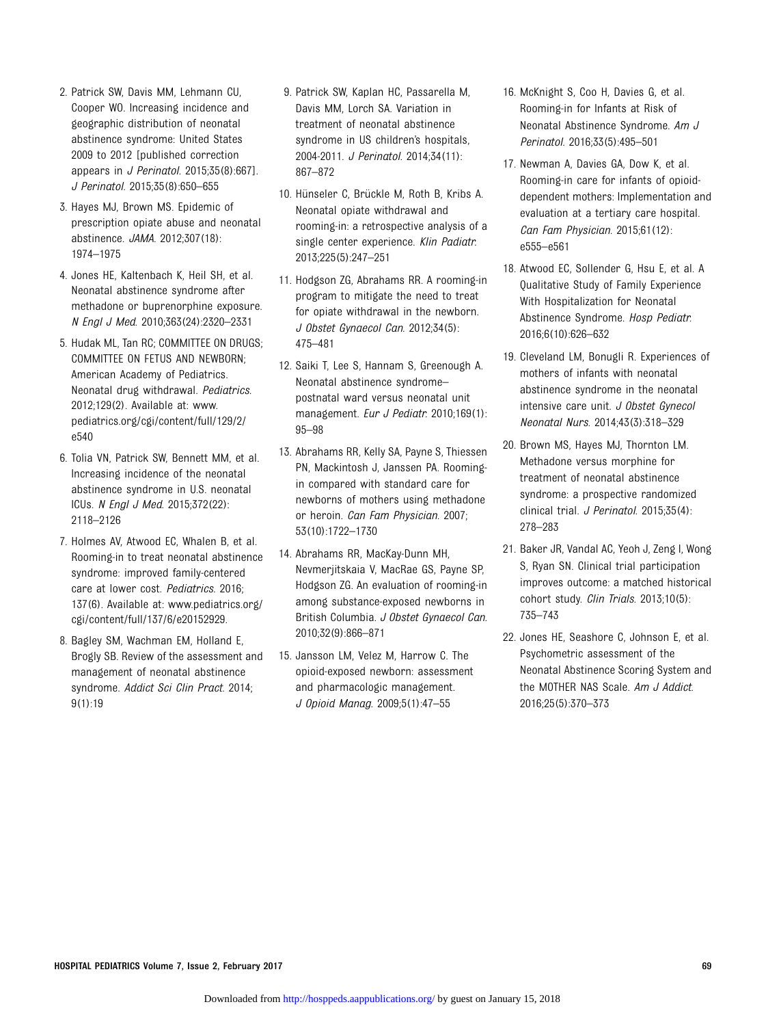- 2. Patrick SW, Davis MM, Lehmann CU, Cooper WO. Increasing incidence and geographic distribution of neonatal abstinence syndrome: United States 2009 to 2012 [published correction appears in J Perinatol. 2015;35(8):667]. J Perinatol. 2015;35(8):650–655
- 3. Hayes MJ, Brown MS. Epidemic of prescription opiate abuse and neonatal abstinence. JAMA. 2012;307(18): 1974–1975
- 4. Jones HE, Kaltenbach K, Heil SH, et al. Neonatal abstinence syndrome after methadone or buprenorphine exposure. N Engl J Med. 2010;363(24):2320–2331
- 5. Hudak ML, Tan RC; COMMITTEE ON DRUGS; COMMITTEE ON FETUS AND NEWBORN; American Academy of Pediatrics. Neonatal drug withdrawal. Pediatrics. 2012;129(2). Available at: [www.](https://webvpn.childrens.harvard.edu/cgi/content/full/129/2/,DanaInfo=www.pediatrics.org+e540) [pediatrics.org/cgi/content/full/129/2/](https://webvpn.childrens.harvard.edu/cgi/content/full/129/2/,DanaInfo=www.pediatrics.org+e540) [e540](https://webvpn.childrens.harvard.edu/cgi/content/full/129/2/,DanaInfo=www.pediatrics.org+e540)
- 6. Tolia VN, Patrick SW, Bennett MM, et al. Increasing incidence of the neonatal abstinence syndrome in U.S. neonatal ICUs. N Engl J Med. 2015;372(22): 2118–2126
- 7. Holmes AV, Atwood EC, Whalen B, et al. Rooming-in to treat neonatal abstinence syndrome: improved family-centered care at lower cost. Pediatrics. 2016; 137(6). Available at: [www.pediatrics.org/](https://webvpn.childrens.harvard.edu/cgi/content/full/137/6/,DanaInfo=www.pediatrics.org+e20152929) [cgi/content/full/137/6/e20152929](https://webvpn.childrens.harvard.edu/cgi/content/full/137/6/,DanaInfo=www.pediatrics.org+e20152929).
- 8. Bagley SM, Wachman EM, Holland E, Brogly SB. Review of the assessment and management of neonatal abstinence syndrome. Addict Sci Clin Pract. 2014; 9(1):19
- 9. Patrick SW, Kaplan HC, Passarella M, Davis MM, Lorch SA. Variation in treatment of neonatal abstinence syndrome in US children's hospitals, 2004-2011. J Perinatol. 2014;34(11): 867–872
- 10. Hünseler C, Brückle M, Roth B, Kribs A. Neonatal opiate withdrawal and rooming-in: a retrospective analysis of a single center experience. Klin Padiatr. 2013;225(5):247–251
- 11. Hodgson ZG, Abrahams RR. A rooming-in program to mitigate the need to treat for opiate withdrawal in the newborn. J Obstet Gynaecol Can. 2012;34(5): 475–481
- 12. Saiki T, Lee S, Hannam S, Greenough A. Neonatal abstinence syndrome– postnatal ward versus neonatal unit management. Eur J Pediatr. 2010;169(1): 95–98
- 13. Abrahams RR, Kelly SA, Payne S, Thiessen PN, Mackintosh J, Janssen PA. Roomingin compared with standard care for newborns of mothers using methadone or heroin. Can Fam Physician. 2007; 53(10):1722–1730
- 14. Abrahams RR, MacKay-Dunn MH, Nevmerjitskaia V, MacRae GS, Payne SP, Hodgson ZG. An evaluation of rooming-in among substance-exposed newborns in British Columbia. J Obstet Gynaecol Can. 2010;32(9):866–871
- 15. Jansson LM, Velez M, Harrow C. The opioid-exposed newborn: assessment and pharmacologic management. J Opioid Manag. 2009;5(1):47–55
- 16. McKnight S, Coo H, Davies G, et al. Rooming-in for Infants at Risk of Neonatal Abstinence Syndrome. Am J Perinatol. 2016;33(5):495–501
- 17. Newman A, Davies GA, Dow K, et al. Rooming-in care for infants of opioiddependent mothers: Implementation and evaluation at a tertiary care hospital. Can Fam Physician. 2015;61(12): e555–e561
- 18. Atwood EC, Sollender G, Hsu E, et al. A Qualitative Study of Family Experience With Hospitalization for Neonatal Abstinence Syndrome. Hosp Pediatr. 2016;6(10):626–632
- 19. Cleveland LM, Bonugli R. Experiences of mothers of infants with neonatal abstinence syndrome in the neonatal intensive care unit. J Obstet Gynecol Neonatal Nurs. 2014;43(3):318–329
- 20. Brown MS, Hayes MJ, Thornton LM. Methadone versus morphine for treatment of neonatal abstinence syndrome: a prospective randomized clinical trial. J Perinatol. 2015;35(4): 278–283
- 21. Baker JR, Vandal AC, Yeoh J, Zeng I, Wong S, Ryan SN. Clinical trial participation improves outcome: a matched historical cohort study. Clin Trials. 2013;10(5): 735–743
- 22. Jones HE, Seashore C, Johnson E, et al. Psychometric assessment of the Neonatal Abstinence Scoring System and the MOTHER NAS Scale. Am J Addict. 2016;25(5):370–373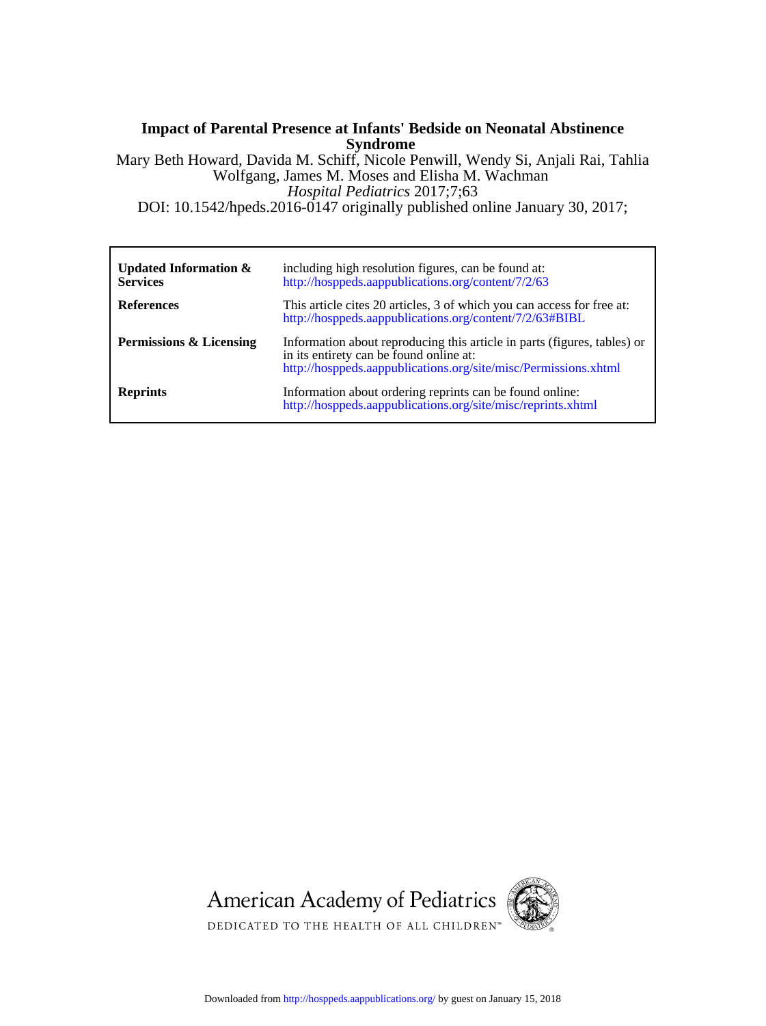# **Syndrome Impact of Parental Presence at Infants' Bedside on Neonatal Abstinence**

DOI: 10.1542/hpeds.2016-0147 originally published online January 30, 2017; *Hospital Pediatrics* 2017;7;63 Wolfgang, James M. Moses and Elisha M. Wachman Mary Beth Howard, Davida M. Schiff, Nicole Penwill, Wendy Si, Anjali Rai, Tahlia

| Updated Information $\&$<br><b>Services</b> | including high resolution figures, can be found at:<br>http://hosppeds.aappublications.org/content/7/2/63                                                                              |
|---------------------------------------------|----------------------------------------------------------------------------------------------------------------------------------------------------------------------------------------|
| <b>References</b>                           | This article cites 20 articles, 3 of which you can access for free at:<br>http://hosppeds.aappublications.org/content/7/2/63#BIBL                                                      |
| Permissions & Licensing                     | Information about reproducing this article in parts (figures, tables) or<br>in its entirety can be found online at:<br>http://hosppeds.aappublications.org/site/misc/Permissions.xhtml |
| <b>Reprints</b>                             | Information about ordering reprints can be found online:<br>http://hosppeds.aappublications.org/site/misc/reprints.xhtml                                                               |